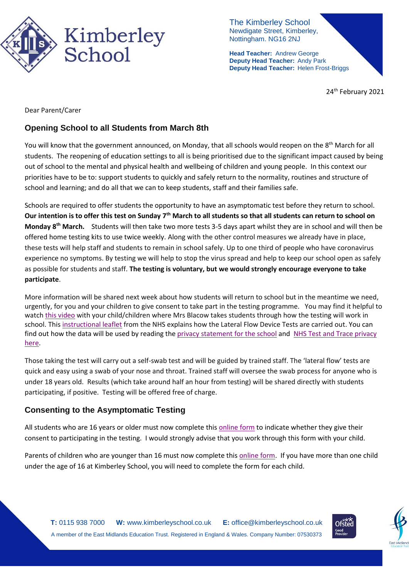

The Kimberley School Newdigate Street, Kimberley, Nottingham. NG16 2NJ

**Head Teacher:** Andrew George **Deputy Head Teacher:** Andy Park **Deputy Head Teacher:** Helen Frost-Briggs

24<sup>th</sup> February 2021

Dear Parent/Carer

## **Opening School to all Students from March 8th**

You will know that the government announced, on Monday, that all schools would reopen on the 8<sup>th</sup> March for all students. The reopening of education settings to all is being prioritised due to the significant impact caused by being out of school to the mental and physical health and wellbeing of children and young people. In this context our priorities have to be to: support students to quickly and safely return to the normality, routines and structure of school and learning; and do all that we can to keep students, staff and their families safe.

Schools are required to offer students the opportunity to have an asymptomatic test before they return to school. **Our intention is to offer this test on Sunday 7th March to all students so that all students can return to school on Monday 8th March.** Students will then take two more tests 3-5 days apart whilst they are in school and will then be offered home testing kits to use twice weekly. Along with the other control measures we already have in place, these tests will help staff and students to remain in school safely. Up to one third of people who have coronavirus experience no symptoms. By testing we will help to stop the virus spread and help to keep our school open as safely as possible for students and staff. **The testing is voluntary, but we would strongly encourage everyone to take participate**.

More information will be shared next week about how students will return to school but in the meantime we need, urgently, for you and your children to give consent to take part in the testing programme. You may find it helpful to watc[h this video](https://youtu.be/hZLq3YhgNE0) with your child/children where Mrs Blacow takes students through how the testing will work in school. Thi[s instructional leaflet](https://assets.publishing.service.gov.uk/government/uploads/system/uploads/attachment_data/file/946612/How_to_do_your_test_COVID_19_instruction_leaflet_for_schools.pdf) from the NHS explains how the Lateral Flow Device Tests are carried out. You can find out how the data will be used by reading the privacy [statement](https://676e78de-15d9-46b7-9fcd-a49f46e58722.filesusr.com/ugd/765d63_12494f71a859470687dc17187e1b7e8b.pdf) for the school and NHS Test and Trace [privacy](https://www.gov.uk/government/publications/nhs-covid-19-app-privacy-information/nhs-test-and-trace-app-early-adopter-trial-august-2020-privacy-notice) [here.](https://www.gov.uk/government/publications/nhs-covid-19-app-privacy-information/nhs-test-and-trace-app-early-adopter-trial-august-2020-privacy-notice)

Those taking the test will carry out a self-swab test and will be guided by trained staff. The 'lateral flow' tests are quick and easy using a swab of your nose and throat. Trained staff will oversee the swab process for anyone who is under 18 years old. Results (which take around half an hour from testing) will be shared directly with students participating, if positive. Testing will be offered free of charge.

### **Consenting to the Asymptomatic Testing**

All students who are 16 years or older must now complete thi[s online form](https://forms.office.com/Pages/ResponsePage.aspx?id=h4JaFYDSiky-6glrnTAOBhbVGSkW34RIgrKjl0BYkC1URU9JOEkzWVE2WEJYVlhMQVo2ODNVVDIyUy4u) to indicate whether they give their consent to participating in the testing. I would strongly advise that you work through this form with your child.

Parents of children who are younger than 16 must now complete this [online form.](https://forms.office.com/Pages/ResponsePage.aspx?id=h4JaFYDSiky-6glrnTAOBhbVGSkW34RIgrKjl0BYkC1UQTZKMEk0SFdCUTdRSkdJODRaV1czOTlXSy4u) If you have more than one child under the age of 16 at Kimberley School, you will need to complete the form for each child.



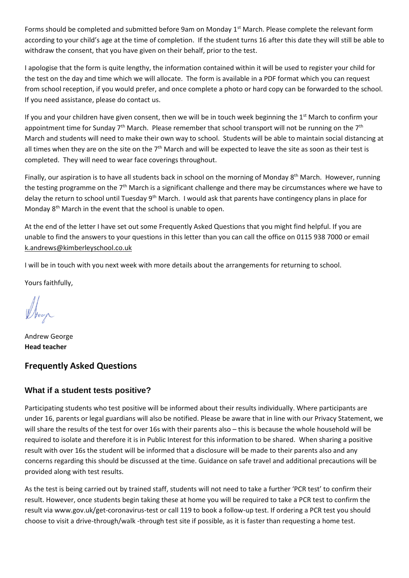Forms should be completed and submitted before 9am on Monday 1<sup>st</sup> March. Please complete the relevant form according to your child's age at the time of completion. If the student turns 16 after this date they will still be able to withdraw the consent, that you have given on their behalf, prior to the test.

I apologise that the form is quite lengthy, the information contained within it will be used to register your child for the test on the day and time which we will allocate. The form is available in a PDF format which you can request from school reception, if you would prefer, and once complete a photo or hard copy can be forwarded to the school. If you need assistance, please do contact us.

If you and your children have given consent, then we will be in touch week beginning the  $1<sup>st</sup>$  March to confirm your appointment time for Sunday  $7<sup>th</sup>$  March. Please remember that school transport will not be running on the  $7<sup>th</sup>$ March and students will need to make their own way to school. Students will be able to maintain social distancing at all times when they are on the site on the 7<sup>th</sup> March and will be expected to leave the site as soon as their test is completed. They will need to wear face coverings throughout.

Finally, our aspiration is to have all students back in school on the morning of Monday  $8^{th}$  March. However, running the testing programme on the 7<sup>th</sup> March is a significant challenge and there may be circumstances where we have to delay the return to school until Tuesday 9<sup>th</sup> March. I would ask that parents have contingency plans in place for Monday 8<sup>th</sup> March in the event that the school is unable to open.

At the end of the letter I have set out some Frequently Asked Questions that you might find helpful. If you are unable to find the answers to your questions in this letter than you can call the office on 0115 938 7000 or email [k.andrews@kimberleyschool.co.uk](mailto:k.andrews@kimberleyschool.co.uk)

I will be in touch with you next week with more details about the arrangements for returning to school.

Yours faithfully,

Andrew George **Head teacher**

### **Frequently Asked Questions**

#### **What if a student tests positive?**

Participating students who test positive will be informed about their results individually. Where participants are under 16, parents or legal guardians will also be notified. Please be aware that in line with our Privacy Statement, we will share the results of the test for over 16s with their parents also – this is because the whole household will be required to isolate and therefore it is in Public Interest for this information to be shared. When sharing a positive result with over 16s the student will be informed that a disclosure will be made to their parents also and any concerns regarding this should be discussed at the time. Guidance on safe travel and additional precautions will be provided along with test results.

As the test is being carried out by trained staff, students will not need to take a further 'PCR test' to confirm their result. However, once students begin taking these at home you will be required to take a PCR test to confirm the result via www.gov.uk/get-coronavirus-test or call 119 to book a follow-up test. If ordering a PCR test you should choose to visit a drive-through/walk -through test site if possible, as it is faster than requesting a home test.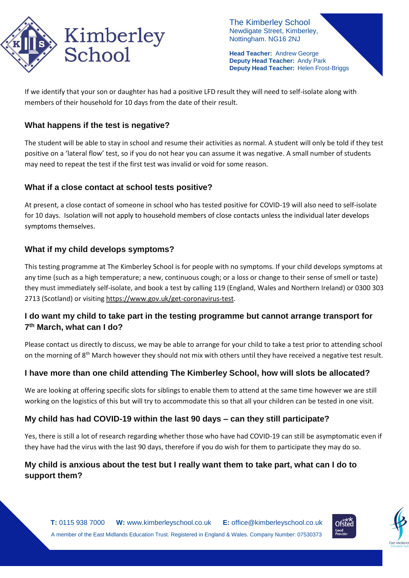

The Kimberley School Newdigate Street, Kimberley, Nottingham. NG16 2NJ

**Head Teacher:** Andrew George **Deputy Head Teacher:** Andy Park **Deputy Head Teacher:** Helen Frost-Briggs

If we identify that your son or daughter has had a positive LFD result they will need to self-isolate along with members of their household for 10 days from the date of their result.

#### **What happens if the test is negative?**

The student will be able to stay in school and resume their activities as normal. A student will only be told if they test positive on a 'lateral flow' test, so if you do not hear you can assume it was negative. A small number of students may need to repeat the test if the first test was invalid or void for some reason.

#### **What if a close contact at school tests positive?**

At present, a close contact of someone in school who has tested positive for COVID-19 will also need to self-isolate for 10 days. Isolation will not apply to household members of close contacts unless the individual later develops symptoms themselves.

### **What if my child develops symptoms?**

This testing programme at The Kimberley School is for people with no symptoms. If your child develops symptoms at any time (such as a high temperature; a new, continuous cough; or a loss or change to their sense of smell or taste) they must immediately self-isolate, and book a test by calling 119 (England, Wales and Northern Ireland) or 0300 303 2713 (Scotland) or visitin[g https://www.gov.uk/get-coronavirus-test.](https://www.gov.uk/get-coronavirus-test)

### **I do want my child to take part in the testing programme but cannot arrange transport for 7 th March, what can I do?**

Please contact us directly to discuss, we may be able to arrange for your child to take a test prior to attending school on the morning of 8<sup>th</sup> March however they should not mix with others until they have received a negative test result.

#### **I have more than one child attending The Kimberley School, how will slots be allocated?**

We are looking at offering specific slots for siblings to enable them to attend at the same time however we are still working on the logistics of this but will try to accommodate this so that all your children can be tested in one visit.

### **My child has had COVID-19 within the last 90 days – can they still participate?**

Yes, there is still a lot of research regarding whether those who have had COVID-19 can still be asymptomatic even if they have had the virus with the last 90 days, therefore if you do wish for them to participate they may do so.

# **My child is anxious about the test but I really want them to take part, what can I do to support them?**